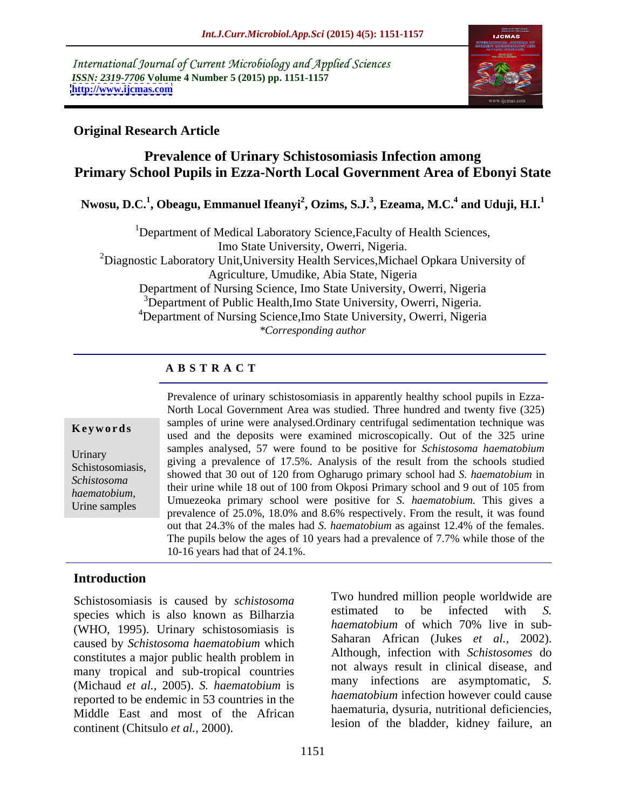International Journal of Current Microbiology and Applied Sciences *ISSN: 2319-7706* **Volume 4 Number 5 (2015) pp. 1151-1157 <http://www.ijcmas.com>**



### **Original Research Article**

## **Prevalence of Urinary Schistosomiasis Infection among Primary School Pupils in Ezza-North Local Government Area of Ebonyi State**

**Nwosu, D.C.<sup>1</sup> , Obeagu, Emmanuel Ifeanyi<sup>2</sup> , Ozims, S.J.<sup>3</sup> , Ezeama, M.C.<sup>4</sup> and Uduji, H.I.1**

<sup>1</sup>Department of Medical Laboratory Science, Faculty of Health Sciences, Imo State University, Owerri, Nigeria. <sup>2</sup>Diagnostic Laboratory Unit, University Health Services, Michael Opkara University of Agriculture, Umudike, Abia State, Nigeria Department of Nursing Science, Imo State University, Owerri, Nigeria <sup>3</sup>Department of Public Health, Imo State University, Owerri, Nigeria. <sup>4</sup>Department of Nursing Science, Imo State University, Owerri, Nigeria *\*Corresponding author*

### **A B S T R A C T**

Urine samples

Prevalence of urinary schistosomiasis in apparently healthy school pupils in Ezza- North Local Government Area was studied. Three hundred and twenty five (325) samples of urine were analysed.Ordinary centrifugal sedimentation technique was **Keywords** samples of time were analysed. Ordinary centrifugal sedimentation technique was used and the deposits were examined microscopically. Out of the 325 urine samples analysed, 57 were found to be positive for *Schistosoma haematobium* Urinary<br>
giving a prevalence of 17.5%. Analysis of the result from the schools studied Schistosomiasis, showed that 30 out of 120 from Ogharugo primary school had *S. haematobium* in Schistosome Schistosoma<br>*hagmatobium* their urine while 18 out of 100 from Okposi Primary school and 9 out of 105 from haematobium,<br>*Umuezeoka primary school were positive for <i>S. haematobium*. This gives a prevalence of 25.0%, 18.0% and 8.6% respectively. From the result, it was found out that 24.3% of the males had *S. haematobium* as against 12.4% of the females. The pupils below the ages of 10 years had a prevalence of 7.7% while those of the 10-16 years had that of 24.1%.

# **Introduction**

Schistosomiasis is caused by *schistosoma* and two nunared million people worldwide are estimated to be infected with S. species which is also known as Bilharzia estimated to be infected with S.<br>Anamatobium of which 70% live in sub-(WHO, 1995). Urinary schistosomiasis is caused by *Schistosoma haematobium* which constitutes a major public health problem in many tropical and sub-tropical countries (Michaud *et al.,* 2005). *S. haematobium* is reported to be endemic in 53 countries in the Middle East and most of the African continent (Chitsulo *et al.,* 2000).

Two hundred million people worldwide are estimated to be infected with *S. haematobium* of which 70% live in sub- Saharan African (Jukes *et al.,* 2002). Although, infection with *Schistosomes* do not always result in clinical disease, and many infections are asymptomatic, *S. haematobium* infection however could cause haematuria, dysuria, nutritional deficiencies, lesion of the bladder, kidney failure, an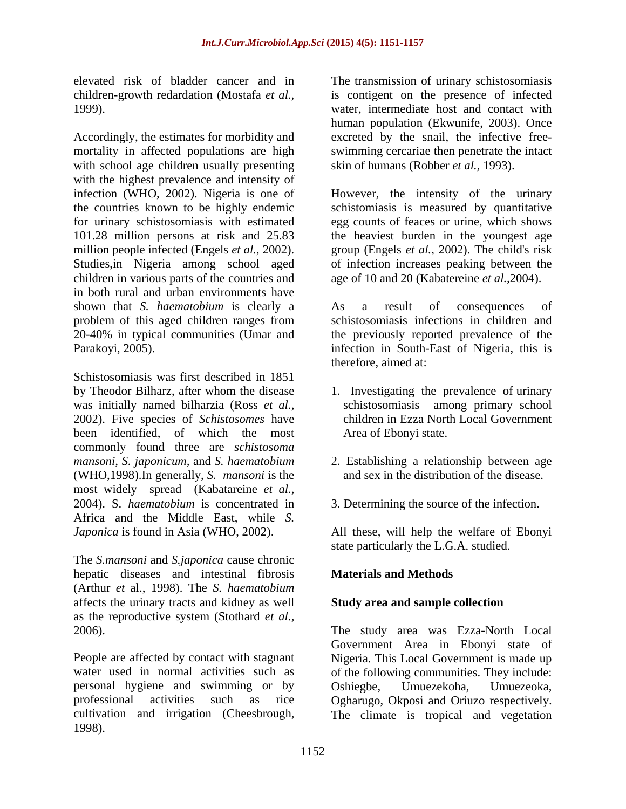Accordingly, the estimates for morbidity and excreted by the snail, the infective free mortality in affected populations are high swimming cercariae then penetrate the intact with school age children usually presenting with the highest prevalence and intensity of infection (WHO, 2002). Nigeria is one of However, the intensity of the urinary the countries known to be highly endemic schistomiasis is measured by quantitative for urinary schistosomiasis with estimated egg counts of feaces or urine, which shows 101.28 million persons at risk and 25.83 the heaviest burden in the youngest age million people infected (Engels *et al.,* 2002). group (Engels *et al.,* 2002). The child's risk Studies,in Nigeria among school aged of infection increases peaking between the children in various parts of the countries and age of 10 and 20 (Kabatereine *et al.,*2004). in both rural and urban environments have shown that *S. haematobium* is clearly a **As** a result of consequences of problem of this aged children ranges from 20-40% in typical communities (Umar and the previously reported prevalence of the Parakoyi, 2005). infection in South-East of Nigeria, this is

Schistosomiasis was first described in 1851 by Theodor Bilharz, after whom the disease 1. Investigating the prevalence of urinary was initially named bilharzia (Ross *et al.,* 2002). Five species of *Schistosomes* have been identified, of which the most commonly found three are *schistosoma mansoni, S. japonicum,* and *S. haematobium* 2. Establishing a relationship between age (WHO,1998).In generally, *S. mansoni* is the most widely spread (Kabatareine *et al.,* 2004). S. *haematobium* is concentrated in Africa and the Middle East, while *S.* 

The *S.mansoni* and *S.japonica* cause chronic hepatic diseases and intestinal fibrosis (Arthur *et* al., 1998). The *S. haematobium* affects the urinary tracts and kidney as well as the reproductive system (Stothard *et al.,*

personal hygiene and swimming or by Oshiegbe, Umuezekoha, Umuezeoka, cultivation and irrigation (Cheesbrough, The climate is tropical and vegetation1998).

elevated risk of bladder cancer and in The transmission of urinary schistosomiasis children-growth redardation (Mostafa *et al.,* is contigent on the presence of infected 1999). water, intermediate host and contact with human population (Ekwunife, 2003). Once skin of humans (Robber *et al.,* 1993).

As a result of consequences of schistosomiasis infections in children and therefore, aimed at:

- schistosomiasis among primary school children in Ezza North Local Government Area of Ebonyi state.
- and sex in the distribution of the disease.
- 3. Determining the source of the infection.

*Japonica* is found in Asia (WHO, 2002). All these, will help the welfare of Ebonyi state particularly the L.G.A. studied.

# **Materials and Methods**

### **Study area and sample collection**

2006). The study area was Ezza-North Local People are affected by contact with stagnant Nigeria. This Local Government is made up water used in normal activities such as of the following communities. They include: professional activities such as rice Ogharugo, Okposi and Oriuzo respectively. Government Area in Ebonyi state of Oshiegbe, Umuezekoha, Umuezeoka,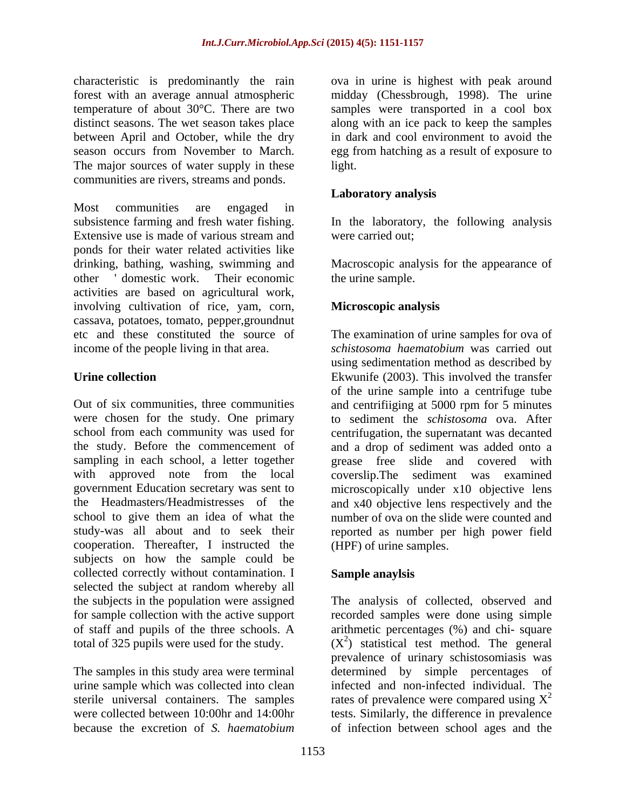forest with an average annual atmospheric between April and October, while the dry The major sources of water supply in these light. communities are rivers, streams and ponds.

Most communities are engaged in subsistence farming and fresh water fishing. In the laboratory, the following analysis Extensive use is made of various stream and were carried out; ponds for their water related activities like drinking, bathing, washing, swimming and Macroscopic analysis for the appearance of other ' domestic work. Their economic the urine sample. activities are based on agricultural work, involving cultivation of rice, yam, corn, cassava, potatoes, tomato, pepper,groundnut etc and these constituted the source of income of the people living in that area.

Out of six communities, three communities and centrifiiging at 5000 rpm for 5 minutes were chosen for the study. One primary to sediment the *schistosoma* ova. After school from each community was used for centrifugation, the supernatant was decanted the study. Before the commencement of and a drop of sediment was added onto a sampling in each school, a letter together grease free slide and covered with with approved note from the local coverslip.The sediment was examined government Education secretary was sent to microscopically under x10 objective lens the Headmasters/Headmistresses of the and x40 objective lens respectively and the school to give them an idea of what the number of ova on the slide were counted and study-was all about and to seek their reported as number per high power field cooperation. Thereafter, I instructed the subjects on how the sample could be collected correctly without contamination. I selected the subject at random whereby all

urine sample which was collected into clean because the excretion of *S. haematobium* of infection between school ages and the

characteristic is predominantly the rain ova in urine is highest with peak around temperature of about 30°C. There are two samples were transported in a cool box distinct seasons. The wet season takes place along with an ice pack to keep the samples season occurs from November to March. egg from hatching as a result of exposure to midday (Chessbrough, 1998). The urine in dark and cool environment to avoid the light.

# **Laboratory analysis**

were carried out;

the urine sample.

# **Microscopic analysis**

Urine collection **Ekwunife (2003)**. This involved the transfer The examination of urine samples for ova of *schistosoma haematobium* was carried out using sedimentation method as described by of the urine sample into a centrifuge tube (HPF) of urine samples.

# **Sample anaylsis**

the subjects in the population were assigned The analysis of collected, observed and for sample collection with the active support recorded samples were done using simple of staff and pupils of the three schools. A arithmetic percentages (%) and chi- square total of 325 pupils were used for the study.  $(X^2)$  statistical test method. The general The samples in this study area were terminal determined by simple percentages of sterile universal containers. The samples rates of prevalence were compared using  $X^2$ were collected between 10:00hr and 14:00hr tests. Similarly, the difference in prevalence prevalence of urinary schistosomiasis was infected and non-infected individual. The 2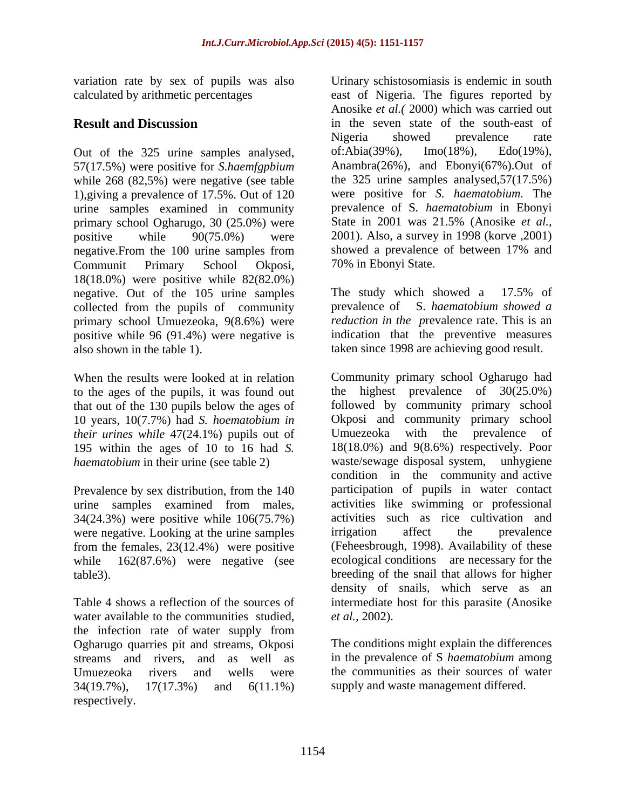Out of the 325 urine samples analysed, of:Abia(39%), Imo(18%), Edo(19%), 57(17.5%) were positive for *S.haemfgpbium*  while 268 (82,5%) were negative (see table 1),giving a prevalence of 17.5%. Out of 120 urine samples examined in community primary school Ogharugo, 30 (25.0%) were negative. From the 100 urine samples from showed a prevalence of between 17% and Communit Primary School Okposi, 18(18.0%) were positive while 82(82.0%) negative. Out of the 105 urine samples The study which showed a 17.5% of collected from the pupils of community prevalence of S. haematobium showed a primary school Umuezeoka, 9(8.6%) were positive while 96 (91.4%) were negative is also shown in the table 1). taken since 1998 are achieving good result.

to the ages of the pupils, it was found out that out of the 130 pupils below the ages of 10 years, 10(7.7%) had *S. hoematobium in* Okposi and community primary sc<br>*their urines while* 47(24.1%) pupils out of Umuezeoka with the prevalence *their urines while* 47(24.1%) pupils out of Umuezeoka with the prevalence of 195 within the ages of 10 to 16 had *S.* 

urine samples examined from males, 34(24.3%) were positive while 106(75.7%) were negative. Looking at the urine samples irrigation affect the prevalence from the females, 23(12.4%) were positive

water available to the communities studied, *et al.*, 2002). the infection rate of water supply from Ogharugo quarries pit and streams, Okposi streams and rivers, and as well as Umuezeoka rivers and wells were the communities as their sources of water 34(19.7%), 17(17.3%) and 6(11.1%) supply and waste management differed.respectively.

variation rate by sex of pupils was also Urinary schistosomiasis is endemic in south calculated by arithmetic percentages east of Nigeria. The figures reported by **Result and Discussion** in the seven state of the south-east of positive while 90(75.0%) were 2001). Also, a survey in 1998 (korve ,2001) Anosike *et al.(* 2000) which was carried out Nigeria showed prevalence rate of:Abia(39%), Imo(18%), Edo(19%), Anambra(26%), and Ebonyi(67%).Out of the 325 urine samples analysed,57(17.5%) were positive for *S. haematobium.* The prevalence of S*. haematobium* in Ebonyi State in 2001 was 21.5% (Anosike *et al.,* showed a prevalence of between 17% and 70% in Ebonyi State.

> The study which showed a 17.5% of prevalence of S. *haematobium showed a reduction in the p*revalence rate. This is an indication that the preventive measures

When the results were looked at in relation Community primary school Ogharugo had haematobium in their urine (see table 2) waste/sewage disposal system, unhygiene Prevalence by sex distribution, from the 140 participation of pupils in water contact while  $162(87.6%)$  were negative (see ecological conditions are necessary for the table3). breeding of the snail that allows for higher Table 4 shows a reflection of the sources of intermediate host for this parasite (Anosike highest prevalence of  $30(25.0\%)$ followed by community primary school Okposi and community primary school Umuezeoka with the prevalence of 18(18.0%) and 9(8.6%) respectively. Poor condition in the community and active participation of pupils in water contact activities like swimming or professional activities such as rice cultivation and irrigation affect the prevalence (Feheesbrough, 1998). Availability of these density of snails, which serve as an *et al.,* 2002).

> The conditions might explain the differences in the prevalence of S *haematobium* among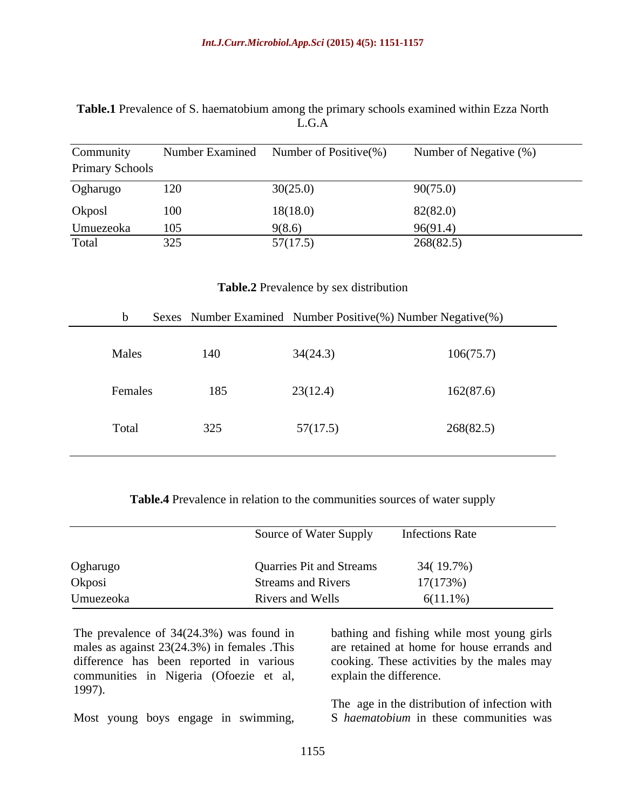### **Table.1** Prevalence of S. haematobium among the primary schools examined within Ezza North L.G.A

| Community<br><b>Primary Schools</b> | Number Examined | Number of Positive $(\%)$ | Number of Negative (%) |
|-------------------------------------|-----------------|---------------------------|------------------------|
| Ogharugo                            | 120             | 30(25.0)                  | 90(75.0)               |
| Okposl                              | 100             | 18(18.0)                  | 82(82.0)               |
| Umuezeoka                           | 105             | 9(8.6)                    | 96(91.4)               |
| Total                               | 325             | 57(17.5)                  | 268(82.5)              |

#### **Table.2** Prevalence by sex distribution

| $\mathbf b$ | Sexes Number Examined Number Positive(%) Number Negative(%) |          |           |
|-------------|-------------------------------------------------------------|----------|-----------|
| Males       | 140                                                         | 34(24.3) | 106(75.7) |
| Females     | 185                                                         | 23(12.4) | 162(87.6) |
| Total       | 325                                                         | 57(17.5) | 268(82.5) |

#### **Table.4** Prevalence in relation to the communities sources of water supply

|           | <b>Source of Water Supply</b>   | <b>Infections Rate</b> |
|-----------|---------------------------------|------------------------|
|           |                                 |                        |
| Ogharugo  | <b>Quarries Pit and Streams</b> | 34(19.7%)              |
| Okposi    | <b>Streams and Rivers</b>       | 17(173%)               |
| Umuezeoka | Rivers and Wells                | $6(11.1\%)$            |

males as against 23(24.3%) in females .This difference has been reported in various cooking. These activities by the males may communities in Nigeria (Ofoezie et al, 1997). The prevalence of 34(24.3%) was found in bathing and fishing while most young girls<br>
males as against 23(24.3%) in females. This are retained at home for house errands and<br>
difference has been reported in various cooking.

The prevalence of 34(24.3%) was found in bathing and fishing while most young girls are retained at home for house errands and explain the difference.

> The age in the distribution of infection with S *haematobium* in these communities was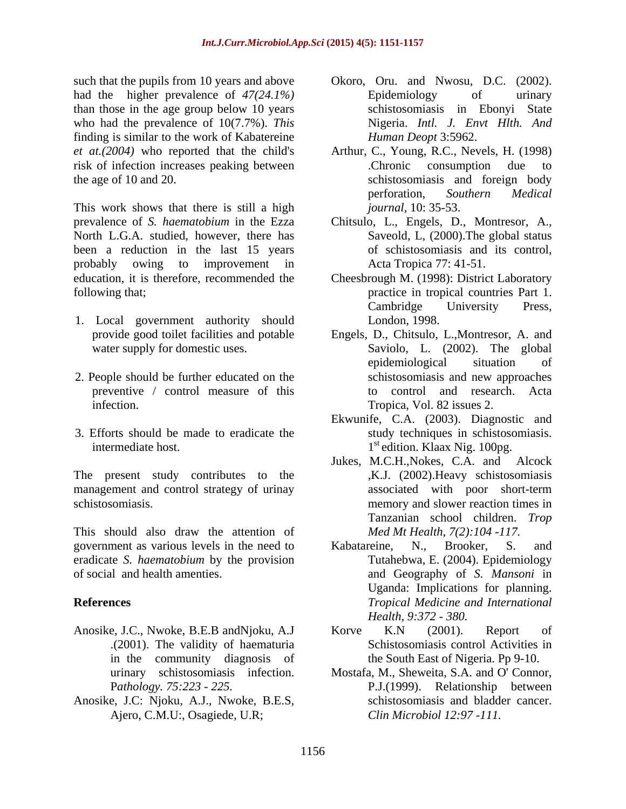had the higher prevalence of  $47(24.1\%)$  Epidemiology of urinary than those in the age group below 10 years who had the prevalence of 10(7.7%). *This*  finding is similar to the work of Kabatereine *et at.(2004)* who reported that the child's Arthur, C., Young, R.C., Nevels, H. (1998) risk of infection increases peaking between .Chronic consumption due to

This work shows that there is still a high prevalence of *S. haematobium* in the Ezza Chitsulo, L., Engels, D., Montresor, A., North L.G.A. studied, however, there has been a reduction in the last 15 years probably owing to improvement in Acta Tropica 77:41-51. education, it is therefore, recommended the Cheesbrough M. (1998): District Laboratory

- 1. Local government authority should
- 2. People should be further educated on the schistosomiasis and new approaches preventive / control measure of this
- 3. Efforts should be made to eradicate the

The present study contributes to the management and control strategy of urinay

This should also draw the attention of government as various levels in the need to  $\blacksquare$  Kabatareine, N., Brooker, S. and eradicate *S. haematobium* by the provision

- Anosike, J.C., Nwoke, B.E.B andNjoku, A.J
- Anosike, J.C: Njoku, A.J., Nwoke, B.E.S, Ajero, C.M.U:, Osagiede, U.R;
- such that the pupils from 10 years and above Okoro, Oru. and Nwosu, D.C. (2002). Epidemiology of urinary schistosomiasis in Ebonyi State Nigeria. *Intl. J. Envt Hlth. And Human Deopt* 3:5962.
- the age of 10 and 20. schistosomiasis and foreign body .Chronic consumption due to perforation, *Southern Medical journal,* 10: 35-53.
	- Saveold, L, (2000).The global status of schistosomiasis and its control, Acta Tropica 77: 41-51.
- following that; practice in tropical countries Part 1. Cambridge University Press, London, 1998.
	- provide good toilet facilities and potable Engels, D., Chitsulo, L.,Montresor, A. and water supply for domestic uses. Saviolo, L. (2002). The global infection. Tropica, Vol. 82 issues 2. epidemiological situation of schistosomiasis and new approaches to control and research. Acta
	- intermediate host. 1<sup>st</sup> edition. Klaax Nig. 100pg. Ekwunife, C.A. (2003). Diagnostic and study techniques in schistosomiasis.
- schistosomiasis. memory and slower reaction times in Jukes, M.C.H.,Nokes, C.A. and Alcock ,K.J. (2002).Heavy schistosomiasis associated with poor short-term Tanzanian school children. *Trop Med Mt Health, 7(2):104 -117.*
- of social and health amenties. and Geography of *S. Mansoni* in **References** *Tropical Medicine and International* Kabatareine, N., Brooker, S. and Tutahebwa, E. (2004). Epidemiology Uganda: Implications for planning. *Health, 9:372 - 380.*
	- .(2001). The validity of haematuria Schistosomiasis control Activities in in the community diagnosis of the South East of Nigeria. Pp 9-10. Korve K.N (2001). Report of
	- urinary schistosomiasis infection. Mostafa, M., Sheweita, S.A. and O' Connor, P*athology. 75:223 - 225.* P.J.(1999). Relationship between schistosomiasis and bladder cancer. *Clin Microbiol 12:97 -111.*